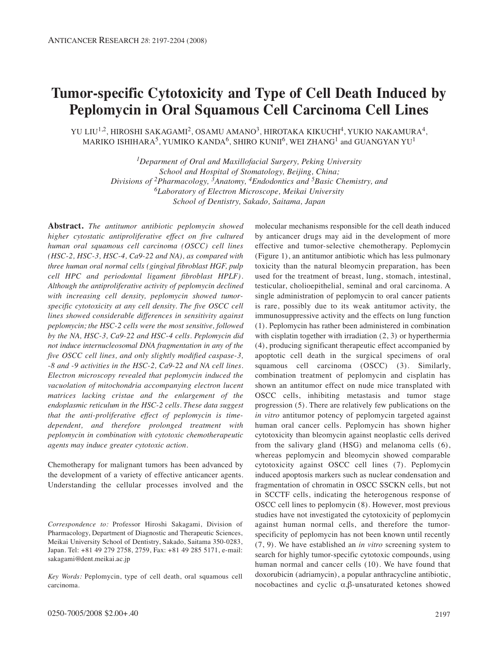# **Tumor-specific Cytotoxicity and Type of Cell Death Induced by Peplomycin in Oral Squamous Cell Carcinoma Cell Lines**

YU LIU $^{1,2}$ , HIROSHI SAKAGAMI $^2$ , OSAMU AMANO $^3$ , HIROTAKA KIKUCHI $^4$ , YUKIO NAKAMURA $^4$ , MARIKO ISHIHARA<sup>5</sup>, YUMIKO KANDA<sup>6</sup>, SHIRO KUNII<sup>6</sup>, WEI ZHANG<sup>1</sup> and GUANGYAN YU<sup>1</sup>

> *1Deparment of Oral and Maxillofacial Surgery, Peking University School and Hospital of Stomatology, Beijing, China; Divisions of 2Pharmacology, 3Anatomy, 4Endodontics and 5Basic Chemistry, and 6Laboratory of Electron Microscope, Meikai University School of Dentistry, Sakado, Saitama, Japan*

**Abstract.** *The antitumor antibiotic peplomycin showed higher cytostatic antiproliferative effect on five cultured human oral squamous cell carcinoma (OSCC) cell lines (HSC-2, HSC-3, HSC-4, Ca9-22 and NA), as compared with three human oral normal cells (gingival fibroblast HGF, pulp cell HPC and periodontal ligament fibroblast HPLF). Although the antiproliferative activity of peplomycin declined with increasing cell density, peplomycin showed tumorspecific cytotoxicity at any cell density. The five OSCC cell lines showed considerable differences in sensitivity against peplomycin; the HSC-2 cells were the most sensitive, followed by the NA, HSC-3, Ca9-22 and HSC-4 cells. Peplomycin did not induce internucleosomal DNA fragmentation in any of the five OSCC cell lines, and only slightly modified caspase-3, -8 and -9 activities in the HSC-2, Ca9-22 and NA cell lines. Electron microscopy revealed that peplomycin induced the vacuolation of mitochondria accompanying electron lucent matrices lacking cristae and the enlargement of the endoplasmic reticulum in the HSC-2 cells. These data suggest that the anti-proliferative effect of peplomycin is timedependent, and therefore prolonged treatment with peplomycin in combination with cytotoxic chemotherapeutic agents may induce greater cytotoxic action.*

Chemotherapy for malignant tumors has been advanced by the development of a variety of effective anticancer agents. Understanding the cellular processes involved and the

*Correspondence to:* Professor Hiroshi Sakagami, Division of Pharmacology, Department of Diagnostic and Therapeutic Sciences, Meikai University School of Dentistry, Sakado, Saitama 350-0283, Japan. Tel: +81 49 279 2758, 2759, Fax: +81 49 285 5171, e-mail: sakagami@dent.meikai.ac.jp

*Key Words:* Peplomycin, type of cell death, oral squamous cell carcinoma.

molecular mechanisms responsible for the cell death induced by anticancer drugs may aid in the development of more effective and tumor-selective chemotherapy. Peplomycin (Figure 1), an antitumor antibiotic which has less pulmonary toxicity than the natural bleomycin preparation, has been used for the treatment of breast, lung, stomach, intestinal, testicular, cholioepithelial, seminal and oral carcinoma. A single administration of peplomycin to oral cancer patients is rare, possibly due to its weak antitumor activity, the immunosuppressive activity and the effects on lung function (1). Peplomycin has rather been administered in combination with cisplatin together with irradiation  $(2, 3)$  or hyperthermia (4), producing significant therapeutic effect accompanied by apoptotic cell death in the surgical specimens of oral squamous cell carcinoma (OSCC) (3). Similarly, combination treatment of peplomycin and cisplatin has shown an antitumor effect on nude mice transplated with OSCC cells, inhibiting metastasis and tumor stage progression (5). There are relatively few publications on the *in vitro* antitumor potency of peplomycin targeted against human oral cancer cells. Peplomycin has shown higher cytotoxicity than bleomycin against neoplastic cells derived from the salivary gland (HSG) and melanoma cells (6), whereas peplomycin and bleomycin showed comparable cytotoxicity against OSCC cell lines (7). Peplomycin induced apoptosis markers such as nuclear condensation and fragmentation of chromatin in OSCC SSCKN cells, but not in SCCTF cells, indicating the heterogenous response of OSCC cell lines to peplomycin (8). However, most previous studies have not investigated the cytotoxicity of peplomycin against human normal cells, and therefore the tumorspecificity of peplomycin has not been known until recently (7, 9). We have established an *in vitro* screening system to search for highly tumor-specific cytotoxic compounds, using human normal and cancer cells (10). We have found that doxorubicin (adriamycin), a popular anthracycline antibiotic, nocobactines and cyclic α,β-unsaturated ketones showed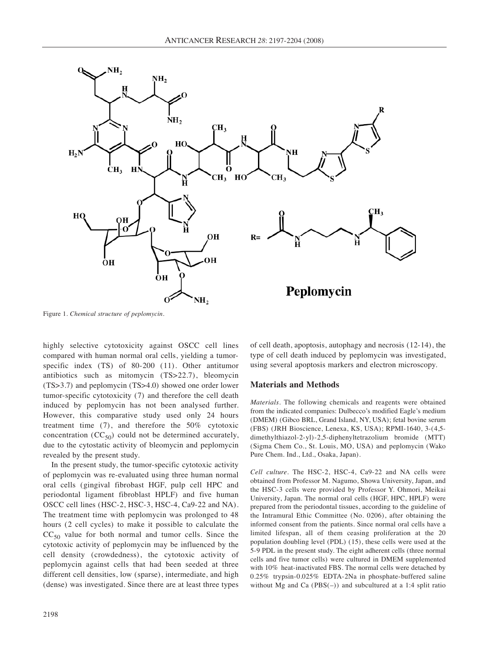

Figure 1. *Chemical structure of peplomycin.*

highly selective cytotoxicity against OSCC cell lines compared with human normal oral cells, yielding a tumorspecific index (TS) of 80-200 (11). Other antitumor antibiotics such as mitomycin (TS>22.7), bleomycin (TS>3.7) and peplomycin (TS>4.0) showed one order lower tumor-specific cytotoxicity (7) and therefore the cell death induced by peplomycin has not been analysed further. However, this comparative study used only 24 hours treatment time (7), and therefore the 50% cytotoxic concentration  $(CC_{50})$  could not be determined accurately, due to the cytostatic activity of bleomycin and peplomycin revealed by the present study.

In the present study, the tumor-specific cytotoxic activity of peplomycin was re-evaluated using three human normal oral cells (gingival fibrobast HGF, pulp cell HPC and periodontal ligament fibroblast HPLF) and five human OSCC cell lines (HSC-2, HSC-3, HSC-4, Ca9-22 and NA). The treatment time with peplomycin was prolonged to 48 hours (2 cell cycles) to make it possible to calculate the  $CC_{50}$  value for both normal and tumor cells. Since the cytotoxic activity of peplomycin may be influenced by the cell density (crowdedness), the cytotoxic activity of peplomycin against cells that had been seeded at three different cell densities, low (sparse), intermediate, and high (dense) was investigated. Since there are at least three types

of cell death, apoptosis, autophagy and necrosis (12-14), the type of cell death induced by peplomycin was investigated, using several apoptosis markers and electron microscopy.

#### **Materials and Methods**

*Materials.* The following chemicals and reagents were obtained from the indicated companies: Dulbecco's modified Eagle's medium (DMEM) (Gibco BRL, Grand Island, NY, USA); fetal bovine serum (FBS) (JRH Bioscience, Lenexa, KS, USA); RPMI-1640, 3-(4,5 dimethylthiazol-2-yl)-2,5-diphenyltetrazolium bromide (MTT) (Sigma Chem Co., St. Louis, MO, USA) and peplomycin (Wako Pure Chem. Ind., Ltd., Osaka, Japan).

*Cell culture.* The HSC-2, HSC-4, Ca9-22 and NA cells were obtained from Professor M. Nagumo, Showa University, Japan, and the HSC-3 cells were provided by Professor Y. Ohmori, Meikai University, Japan. The normal oral cells (HGF, HPC, HPLF) were prepared from the periodontal tissues, according to the guideline of the Intramural Ethic Committee (No. 0206), after obtaining the informed consent from the patients. Since normal oral cells have a limited lifespan, all of them ceasing proliferation at the 20 population doubling level (PDL) (15), these cells were used at the 5-9 PDL in the present study. The eight adherent cells (three normal cells and five tumor cells) were cultured in DMEM supplemented with 10% heat-inactivated FBS. The normal cells were detached by 0.25% trypsin-0.025% EDTA-2Na in phosphate-buffered saline without Mg and Ca  $(PBS(-))$  and subcultured at a 1:4 split ratio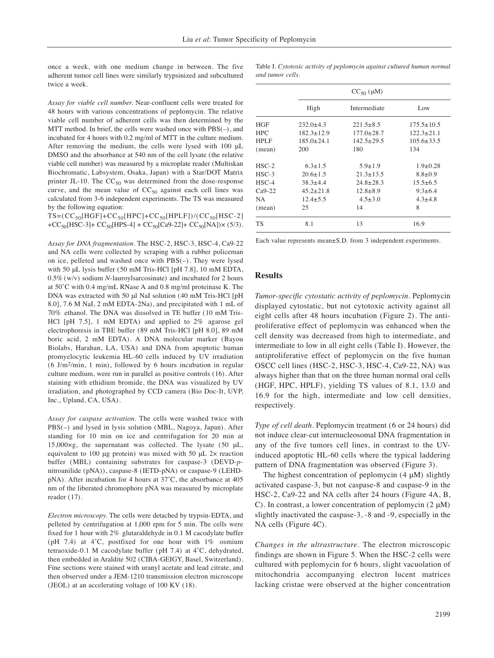once a week, with one medium change in between. The five adherent tumor cell lines were similarly trypsinized and subcultured twice a week.

*Assay for viable cell number.* Near-confluent cells were treated for 48 hours with various concentrations of peplomycin. The relative viable cell number of adherent cells was then determined by the MTT method. In brief, the cells were washed once with PBS(–), and incubated for 4 hours with 0.2 mg/ml of MTT in the culture medium. After removing the medium, the cells were lysed with 100 μL DMSO and the absorbance at 540 nm of the cell lysate (the relative viable cell number) was measured by a microplate reader (Multiskan Biochromatic, Labsystem, Osaka, Japan) with a Star/DOT Matrix printer JL-10. The  $CC_{50}$  was determined from the dose-response curve, and the mean value of  $CC_{50}$  against each cell lines was calculated from 3-6 independent experiments. The TS was measured by the following equation:

 $TS=(CC_{50}[HGF]+CC_{50}[HPC]+CC_{50}[HPLF])/(CC_{50}[HSC-2])$ +CC<sub>50</sub>[HSC-3]+ CC<sub>50</sub>[HPS-4] + CC<sub>50</sub>[Ca9-22]+ CC<sub>50</sub>[NA])× (5/3).

*Assay for DNA fragmentation.* The HSC-2, HSC-3, HSC-4, Ca9-22 and NA cells were collected by scraping with a rubber policeman on ice, pelleted and washed once with PBS(–). They were lysed with 50 μL lysis buffer (50 mM Tris-HCl [pH 7.8], 10 mM EDTA, 0.5% (w/v) sodium *N*-lauroylsarcosinate) and incubated for 2 hours at 50˚C with 0.4 mg/mL RNase A and 0.8 mg/ml proteinase K. The DNA was extracted with 50 μl NaI solution (40 mM Tris-HCl [pH 8.0], 7.6 M NaI, 2 mM EDTA-2Na), and precipitated with 1 mL of 70% ethanol. The DNA was dissolved in TE buffer (10 mM Tris-HCl [pH 7.5], 1 mM EDTA) and applied to 2% agarose gel electrophoresis in TBE buffer (89 mM Tris-HCl [pH 8.0], 89 mM boric acid, 2 mM EDTA). A DNA molecular marker (Bayou Biolabs, Harahan, LA, USA) and DNA from apoptotic human promyelocytic leukemia HL-60 cells induced by UV irradiation  $(6 \text{ J/m}^2/\text{min}, 1 \text{ min})$ , followed by 6 hours incubation in regular culture medium, were run in parallel as positive controls (16). After staining with ethidium bromide, the DNA was visualized by UV irradiation, and photographed by CCD camera (Bio Doc-It, UVP, Inc., Upland, CA, USA).

*Assay for caspase activation.* The cells were washed twice with PBS(–) and lysed in lysis solution (MBL, Nagoya, Japan). After standing for 10 min on ice and centrifugation for 20 min at 15,000 $\times$ g, the supernatant was collected. The lysate (50  $\mu$ L, equivalent to 100 μg protein) was mixed with 50 μL 2× reaction buffer (MBL) containing substrates for caspase-3 (DEVD-*p*nitroanilide (pNA)), caspase-8 (IETD-pNA) or caspase-9 (LEHDpNA). After incubation for 4 hours at 37˚C, the absorbance at 405 nm of the liberated chromophore pNA was measured by microplate reader (17).

*Electron microscopy.* The cells were detached by trypsin-EDTA, and pelleted by centrifugation at 1,000 rpm for 5 min. The cells were fixed for 1 hour with 2% glutaraldehyde in 0.1 M cacodylate buffer (pH 7.4) at 4˚C, postfixed for one hour with 1% osmium tetraoxide-0.1 M cacodylate buffer (pH 7.4) at 4˚C, dehydrated, then embedded in Araldite 502 (CIBA-GEIGY, Basel, Switzerland). Fine sections were stained with uranyl acetate and lead citrate, and then observed under a JEM-1210 transmission electron microscope (JEOL) at an accelerating voltage of 100 KV (18).

Table I. *Cytotoxic activity of peplomycin against cultured human normal and tumor cells.*

|             | $CC_{50}$ ( $\mu$ M) |                  |                  |
|-------------|----------------------|------------------|------------------|
|             | High                 | Intermediate     | Low              |
| <b>HGF</b>  | $232.0 \pm 4.3$      | $221.5 \pm 8.5$  | $175.5 \pm 10.5$ |
| <b>HPC</b>  | $182.3 \pm 12.9$     | $177.0 \pm 28.7$ | $122.3 \pm 21.1$ |
| <b>HPLF</b> | $185.0 \pm 24.1$     | $142.5 \pm 29.5$ | $105.6 \pm 33.5$ |
| (mean)      | 200                  | 180              | 134              |
| $HSC-2$     | $6.3 \pm 1.5$        | $5.9 \pm 1.9$    | $1.9 \pm 0.28$   |
| $HSC-3$     | $20.6 \pm 1.5$       | $21.3 \pm 13.5$  | $8.8 \pm 0.9$    |
| $HSC-4$     | $38.3 \pm 4.4$       | $24.8 \pm 28.3$  | $15.5 \pm 6.5$   |
| $Ca9-22$    | $45.2 \pm 21.8$      | $12.8 \pm 8.9$   | $9.3 \pm 6.4$    |
| NA          | $12.4 \pm 5.5$       | $4.5 \pm 3.0$    | $4.3 \pm 4.8$    |
| (mean)      | 25                   | 14               | 8                |
| TS          | 8.1                  | 13               | 16.9             |

Each value represents mean±S.D. from 3 independent experiments.

#### **Results**

*Tumor-specific cytostatic activity of peplomycin.* Peplomycin displayed cytostatic, but not cytotoxic activity against all eight cells after 48 hours incubation (Figure 2). The antiproliferative effect of peplomycin was enhanced when the cell density was decreased from high to intermediate, and intermediate to low in all eight cells (Table I). However, the antiproliferative effect of peplomycin on the five human OSCC cell lines (HSC-2, HSC-3, HSC-4, Ca9-22, NA) was always higher than that on the three human normal oral cells (HGF, HPC, HPLF), yielding TS values of 8.1, 13.0 and 16.9 for the high, intermediate and low cell densities, respectively.

*Type of cell death.* Peplomycin treatment (6 or 24 hours) did not induce clear-cut internucleosomal DNA fragmentation in any of the five tumors cell lines, in contrast to the UVinduced apoptotic HL-60 cells where the typical laddering pattern of DNA fragmentation was observed (Figure 3).

The highest concentration of peplomycin  $(4 \mu M)$  slightly activated caspase-3, but not caspase-8 and caspase-9 in the HSC-2, Ca9-22 and NA cells after 24 hours (Figure 4A, B, C). In contrast, a lower concentration of peplomycin (2 μM) slightly inactivated the caspase-3, -8 and -9, especially in the NA cells (Figure 4C).

*Changes in the ultrastructure.* The electron microscopic findings are shown in Figure 5. When the HSC-2 cells were cultured with peplomycin for 6 hours, slight vacuolation of mitochondria accompanying electron lucent matrices lacking cristae were observed at the higher concentration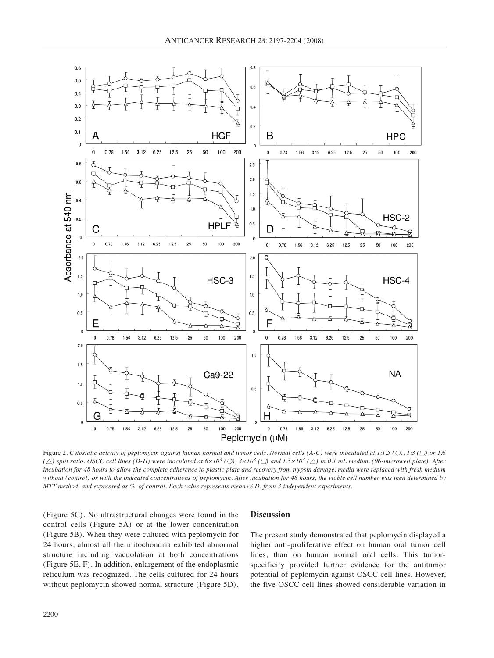

Figure 2. Cytostatic activity of peplomycin against human normal and tumor cells. Normal cells (A-C) were inoculated at 1:1.5 (O), 1:3 ( $\square$ ) or 1:6 ( $\triangle$ ) split ratio. OSCC cell lines (D-H) were inoculated at  $6\times10^3$  (O),  $3\times10^3$  ( $\Box$ ) and  $1.5\times10^3$  ( $\triangle$ ) in 0.1 mL medium (96-microwell plate). After incubation for 48 hours to allow the complete adherence to plastic plate and recovery from trypsin damage, media were replaced with fresh medium without (control) or with the indicated concentrations of peplomycin. After incubation for 48 hours, the viable cell number was then determined by MTT method, and expressed as % of control. Each value represents mean±S.D. from 3 independent experiments.

(Figure 5C). No ultrastructural changes were found in the control cells (Figure 5A) or at the lower concentration (Figure 5B). When they were cultured with peplomycin for 24 hours, almost all the mitochondria exhibited abnormal structure including vacuolation at both concentrations (Figure 5E, F). In addition, enlargement of the endoplasmic reticulum was recognized. The cells cultured for 24 hours without peplomycin showed normal structure (Figure 5D).

#### **Discussion**

The present study demonstrated that peplomycin displayed a higher anti-proliferative effect on human oral tumor cell lines, than on human normal oral cells. This tumorspecificity provided further evidence for the antitumor potential of peplomycin against OSCC cell lines. However, the five OSCC cell lines showed considerable variation in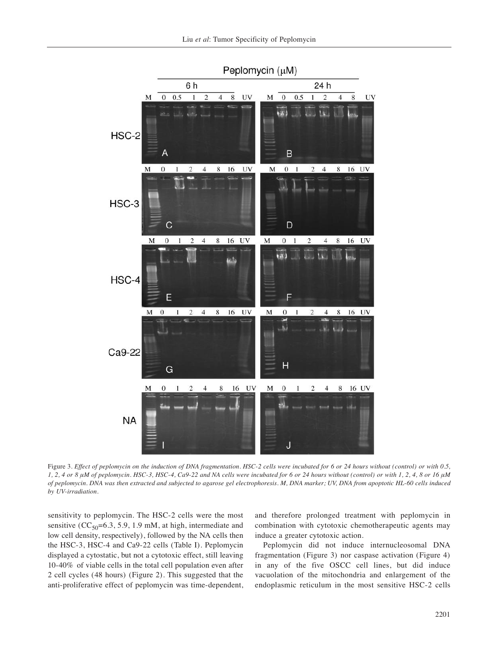

Figure 3. Effect of peplomycin on the induction of DNA fragmentation. HSC-2 cells were incubated for 6 or 24 hours without (control) or with 0.5, 1, 2, 4 or 8 µM of peplomycin. HSC-3, HSC-4, Ca9-22 and NA cells were incubated for 6 or 24 hours without (control) or with 1, 2, 4, 8 or 16 µM of peplomycin. DNA was then extracted and subjected to agarose gel electrophoresis. M, DNA marker; UV, DNA from apoptotic HL-60 cells induced *by UV-irradiation.*

sensitivity to peplomycin. The HSC-2 cells were the most sensitive  $(CC<sub>50</sub>=6.3, 5.9, 1.9$  mM, at high, intermediate and low cell density, respectively), followed by the NA cells then the HSC-3, HSC-4 and Ca9-22 cells (Table I). Peplomycin displayed a cytostatic, but not a cytotoxic effect, still leaving 10-40% of viable cells in the total cell population even after 2 cell cycles (48 hours) (Figure 2). This suggested that the anti-proliferative effect of peplomycin was time-dependent, and therefore prolonged treatment with peplomycin in combination with cytotoxic chemotherapeutic agents may induce a greater cytotoxic action.

Peplomycin did not induce internucleosomal DNA fragmentation (Figure 3) nor caspase activation (Figure 4) in any of the five OSCC cell lines, but did induce vacuolation of the mitochondria and enlargement of the endoplasmic reticulum in the most sensitive HSC-2 cells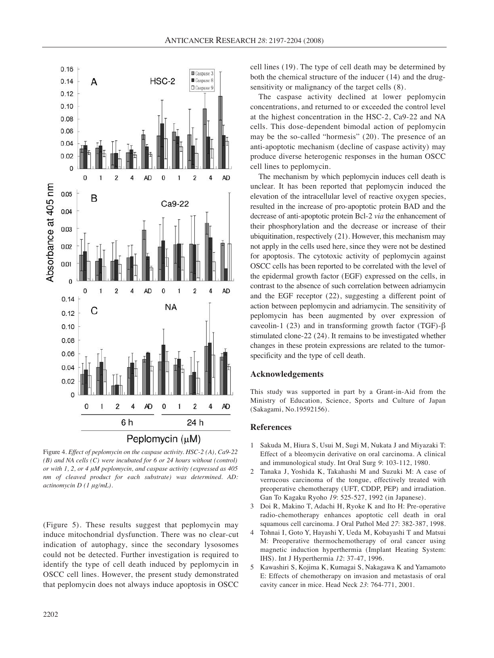

Figure 4*. Effect of peplomycin on the caspase activity. HSC-2 (A), Ca9-22 (B) and NA cells (C) were incubated for 6 or 24 hours without (control) or with 1, 2, or 4 μM peplomycin, and caspase activity (expressed as 405 nm of cleaved product for each substrate) was determined. AD: actinomycin D (1 μg/mL).*

(Figure 5). These results suggest that peplomycin may induce mitochondrial dysfunction. There was no clear-cut indication of autophagy, since the secondary lysosomes could not be detected. Further investigation is required to identify the type of cell death induced by peplomycin in OSCC cell lines. However, the present study demonstrated that peplomycin does not always induce apoptosis in OSCC

cell lines (19). The type of cell death may be determined by both the chemical structure of the inducer (14) and the drugsensitivity or malignancy of the target cells (8).

The caspase activity declined at lower peplomycin concentrations, and returned to or exceeded the control level at the highest concentration in the HSC-2, Ca9-22 and NA cells. This dose-dependent bimodal action of peplomycin may be the so-called "hormesis" (20). The presence of an anti-apoptotic mechanism (decline of caspase activity) may produce diverse heterogenic responses in the human OSCC cell lines to peplomycin.

The mechanism by which peplomycin induces cell death is unclear. It has been reported that peplomycin induced the elevation of the intracellular level of reactive oxygen species, resulted in the increase of pro-apoptotic protein BAD and the decrease of anti-apoptotic protein Bcl-2 *via* the enhancement of their phosphorylation and the decrease or increase of their ubiquitination, respectively (21). However, this mechanism may not apply in the cells used here, since they were not be destined for apoptosis. The cytotoxic activity of peplomycin against OSCC cells has been reported to be correlated with the level of the epidermal growth factor (EGF) expressed on the cells, in contrast to the absence of such correlation between adriamycin and the EGF receptor (22), suggesting a different point of action between peplomycin and adriamycin. The sensitivity of peplomycin has been augmented by over expression of caveolin-1 (23) and in transforming growth factor (TGF)-β stimulated clone-22 (24). It remains to be investigated whether changes in these protein expressions are related to the tumorspecificity and the type of cell death.

## **Acknowledgements**

This study was supported in part by a Grant-in-Aid from the Ministry of Education, Science, Sports and Culture of Japan (Sakagami, No.19592156).

### **References**

- 1 Sakuda M, Hiura S, Usui M, Sugi M, Nukata J and Miyazaki T: Effect of a bleomycin derivative on oral carcinoma. A clinical and immunological study. Int Oral Surg *9*: 103-112, 1980.
- 2 Tanaka J, Yoshida K, Takahashi M and Suzuki M: A case of verrucous carcinoma of the tongue, effectively treated with preoperative chemotherapy (UFT, CDDP, PEP) and irradiation. Gan To Kagaku Ryoho *19*: 525-527, 1992 (in Japanese).
- 3 Doi R, Makino T, Adachi H, Ryoke K and Ito H: Pre-operative radio-chemotherapy enhances apoptotic cell death in oral squamous cell carcinoma. J Oral Pathol Med *27*: 382-387, 1998.
- 4 Tohnai I, Goto Y, Hayashi Y, Ueda M, Kobayashi T and Matsui M: Preoperative thermochemotherapy of oral cancer using magnetic induction hyperthermia (Implant Heating System: IHS). Int J Hyperthermia *12*: 37-47, 1996.
- 5 Kawashiri S, Kojima K, Kumagai S, Nakagawa K and Yamamoto E: Effects of chemotherapy on invasion and metastasis of oral cavity cancer in mice. Head Neck *23*: 764-771, 2001.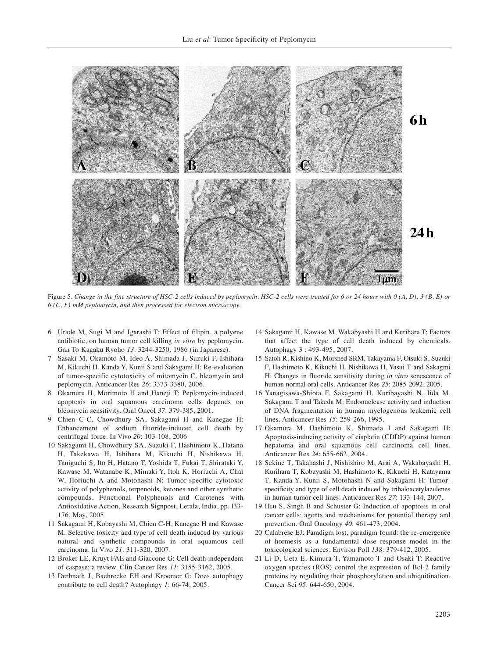

Figure 5. Change in the fine structure of HSC-2 cells induced by peplomycin. HSC-2 cells were treated for 6 or 24 hours with  $0(A, D)$ , 3  $(B, E)$  or *6 (C, F) mM peplomycin, and then processed for electron microscopy.*

- 6 Urade M, Sugi M and Igarashi T: Effect of filipin, a polyene antibiotic, on human tumor cell killing *in vitro* by peplomycin. Gan To Kagaku Ryoho *13*: 3244-3250, 1986 (in Japanese).
- 7 Sasaki M, Okamoto M, Ideo A, Shimada J, Suzuki F, Ishihara M, Kikuchi H, Kanda Y, Kunii S and Sakagami H: Re-evaluation of tumor-specific cytotoxicity of mitomycin C, bleomycin and peplomycin. Anticancer Res *26*: 3373-3380, 2006.
- 8 Okamura H, Morimoto H and Haneji T: Peplomycin-induced apoptosis in oral squamous carcinoma cells depends on bleomycin sensitivity. Oral Oncol *37*: 379-385, 2001.
- 9 Chien C-C, Chowdhury SA, Sakagami H and Kanegae H: Enhancement of sodium fluoride-induced cell death by centrifugal force. In Vivo *20*: 103-108, 2006
- 10 Sakagami H, Chowdhury SA, Suzuki F, Hashimoto K, Hatano H, Takekawa H, Iahihara M, Kikuchi H, Nishikawa H, Taniguchi S, Ito H, Hatano T, Yoshida T, Fukai T, Shirataki Y, Kawase M, Watanabe K, Mimaki Y, Itoh K, Horiuchi A, Chai W, Horiuchi A and Motohashi N: Tumor-specific cytotoxic activity of polyphenols, terpenoids, ketones and other synthetic compounds. Functional Polyphenols and Carotenes with Antioxidative Action, Research Signpost, Lerala, India, pp. l33- 176, May, 2005.
- 11 Sakagami H, Kobayashi M, Chien C-H, Kanegae H and Kawase M: Selective toxicity and type of cell death induced by various natural and synthetic compounds in oral squamous cell carcinoma. In Vivo *21*: 311-320, 2007.
- 12 Broker LE, Kruyt FAE and Giaccone G: Cell death independent of caspase: a review. Clin Cancer Res *11*: 3155-3162, 2005.
- 13 Derbnath J, Baehrecke EH and Kroemer G: Does autophagy contribute to cell death? Autophagy *1*: 66-74, 2005.
- 14 Sakagami H, Kawase M, Wakabyashi H and Kurihara T: Factors that affect the type of cell death induced by chemicals. Autophagy 3 : 493-495, 2007.
- 15 Satoh R, Kishino K, Morshed SRM, Takayama F, Otsuki S, Suzuki F, Hashimoto K, Kikuchi H, Nishikawa H, Yasui T and Sakagmi H: Changes in fluoride sensitivity during *in vitro* senescence of human normal oral cells. Anticancer Res *25*: 2085-2092, 2005.
- 16 Yanagisawa-Shiota F, Sakagami H, Kuribayashi N, Iida M, Sakagami T and Takeda M: Endonuclease activity and induction of DNA fragmentation in human myelogenous leukemic cell lines. Anticancer Res *15*: 259-266, 1995.
- 17 Okamura M, Hashimoto K, Shimada J and Sakagami H: Apoptosis-inducing activity of cisplatin (CDDP) against human hepatoma and oral squamous cell carcinoma cell lines. Anticancer Res *24*: 655-662, 2004.
- 18 Sekine T, Takahashi J, Nishishiro M, Arai A, Wakabayashi H, Kurihara T, Kobayashi M, Hashimoto K, Kikuchi H, Katayama T, Kanda Y, Kunii S, Motohashi N and Sakagami H: Tumorspecificity and type of cell death induced by trihaloacetylazulenes in human tumor cell lines. Anticancer Res *27*: 133-144, 2007.
- 19 Hsu S, Singh B and Schuster G: Induction of apoptosis in oral cancer cells: agents and mechanisms for potential therapy and prevention. Oral Oncology *40*: 461-473, 2004.
- 20 Calabrese EJ: Paradigm lost, paradigm found: the re-emergence of hormesis as a fundamental dose–response model in the toxicological sciences. Environ Poll *138*: 379-412, 2005.
- 21 Li D, Ueta E, Kimura T, Yamamoto T and Osaki T: Reactive oxygen species (ROS) control the expression of Bcl-2 family proteins by regulating their phosphorylation and ubiquitination. Cancer Sci *95*: 644-650, 2004.